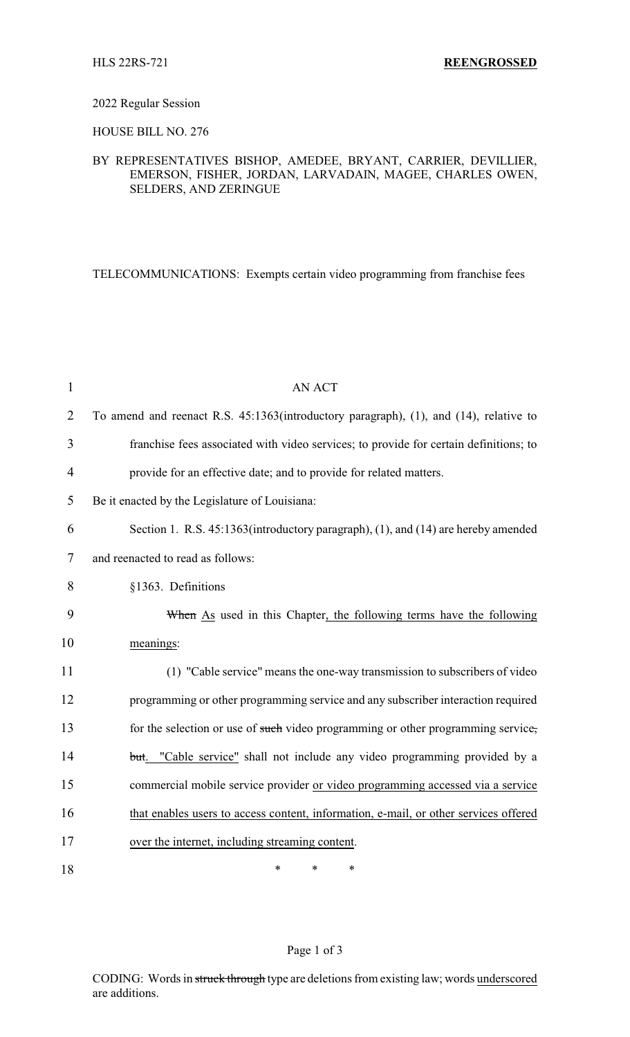#### 2022 Regular Session

HOUSE BILL NO. 276

## BY REPRESENTATIVES BISHOP, AMEDEE, BRYANT, CARRIER, DEVILLIER, EMERSON, FISHER, JORDAN, LARVADAIN, MAGEE, CHARLES OWEN, SELDERS, AND ZERINGUE

TELECOMMUNICATIONS: Exempts certain video programming from franchise fees

| $\mathbf{1}$   | <b>AN ACT</b>                                                                         |
|----------------|---------------------------------------------------------------------------------------|
| $\overline{2}$ | To amend and reenact R.S. 45:1363(introductory paragraph), (1), and (14), relative to |
| 3              | franchise fees associated with video services; to provide for certain definitions; to |
| $\overline{4}$ | provide for an effective date; and to provide for related matters.                    |
| 5              | Be it enacted by the Legislature of Louisiana:                                        |
| 6              | Section 1. R.S. 45:1363(introductory paragraph), (1), and (14) are hereby amended     |
| 7              | and reenacted to read as follows:                                                     |
| 8              | §1363. Definitions                                                                    |
| 9              | When As used in this Chapter, the following terms have the following                  |
| 10             | meanings:                                                                             |
| 11             | (1) "Cable service" means the one-way transmission to subscribers of video            |
| 12             | programming or other programming service and any subscriber interaction required      |
| 13             | for the selection or use of such video programming or other programming service,      |
| 14             | but. "Cable service" shall not include any video programming provided by a            |
| 15             | commercial mobile service provider or video programming accessed via a service        |
| 16             | that enables users to access content, information, e-mail, or other services offered  |
| 17             | over the internet, including streaming content.                                       |
| 18             | *<br>$\ast$<br>*                                                                      |

## Page 1 of 3

CODING: Words in struck through type are deletions from existing law; words underscored are additions.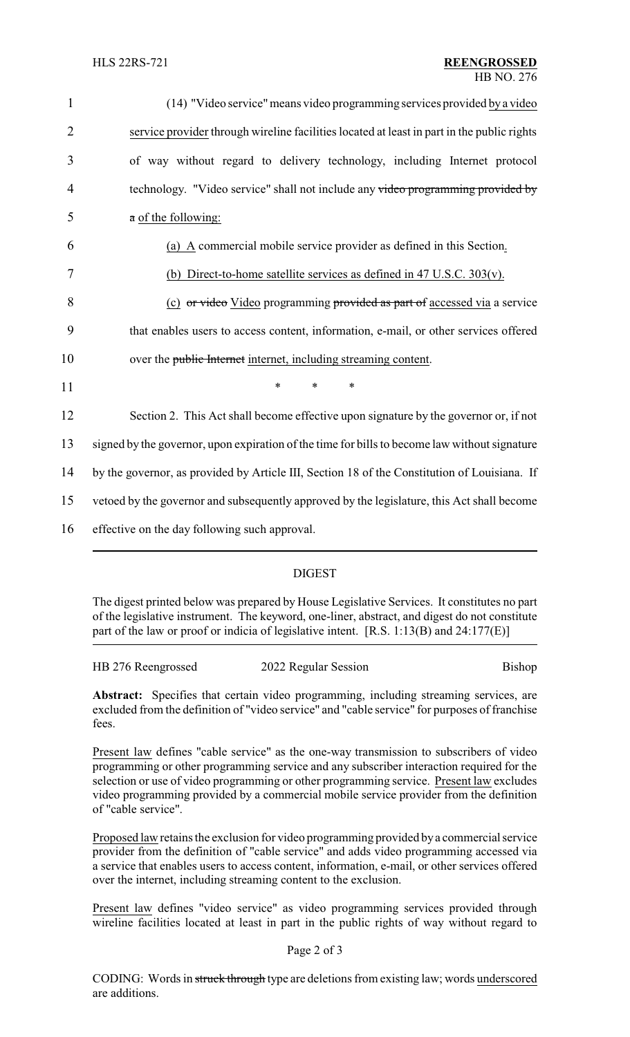| $\mathbf{1}$   | (14) "Video service" means video programming services provided by a video                     |  |  |
|----------------|-----------------------------------------------------------------------------------------------|--|--|
| $\overline{2}$ | service provider through wireline facilities located at least in part in the public rights    |  |  |
| 3              | of way without regard to delivery technology, including Internet protocol                     |  |  |
| 4              | technology. "Video service" shall not include any video programming provided by               |  |  |
| 5              | a of the following:                                                                           |  |  |
| 6              | (a) $\overline{A}$ commercial mobile service provider as defined in this Section.             |  |  |
| 7              | (b) Direct-to-home satellite services as defined in 47 U.S.C. $303(v)$ .                      |  |  |
| 8              | (c) or video Video programming provided as part of accessed via a service                     |  |  |
| 9              | that enables users to access content, information, e-mail, or other services offered          |  |  |
| 10             | over the public Internet internet, including streaming content.                               |  |  |
| 11             | $\ast$<br>$\ast$<br>$\ast$                                                                    |  |  |
| 12             | Section 2. This Act shall become effective upon signature by the governor or, if not          |  |  |
| 13             | signed by the governor, upon expiration of the time for bills to become law without signature |  |  |
| 14             | by the governor, as provided by Article III, Section 18 of the Constitution of Louisiana. If  |  |  |
| 15             | vetoed by the governor and subsequently approved by the legislature, this Act shall become    |  |  |
| 16             | effective on the day following such approval.                                                 |  |  |
|                |                                                                                               |  |  |

## DIGEST

The digest printed below was prepared by House Legislative Services. It constitutes no part of the legislative instrument. The keyword, one-liner, abstract, and digest do not constitute part of the law or proof or indicia of legislative intent. [R.S. 1:13(B) and 24:177(E)]

| HB 276 Reengrossed | 2022 Regular Session | Bishop |
|--------------------|----------------------|--------|
|                    |                      |        |

**Abstract:** Specifies that certain video programming, including streaming services, are excluded from the definition of "video service" and "cable service" for purposes of franchise fees.

Present law defines "cable service" as the one-way transmission to subscribers of video programming or other programming service and any subscriber interaction required for the selection or use of video programming or other programming service. Present law excludes video programming provided by a commercial mobile service provider from the definition of "cable service".

Proposed law retains the exclusion for video programming provided bya commercial service provider from the definition of "cable service" and adds video programming accessed via a service that enables users to access content, information, e-mail, or other services offered over the internet, including streaming content to the exclusion.

Present law defines "video service" as video programming services provided through wireline facilities located at least in part in the public rights of way without regard to

## Page 2 of 3